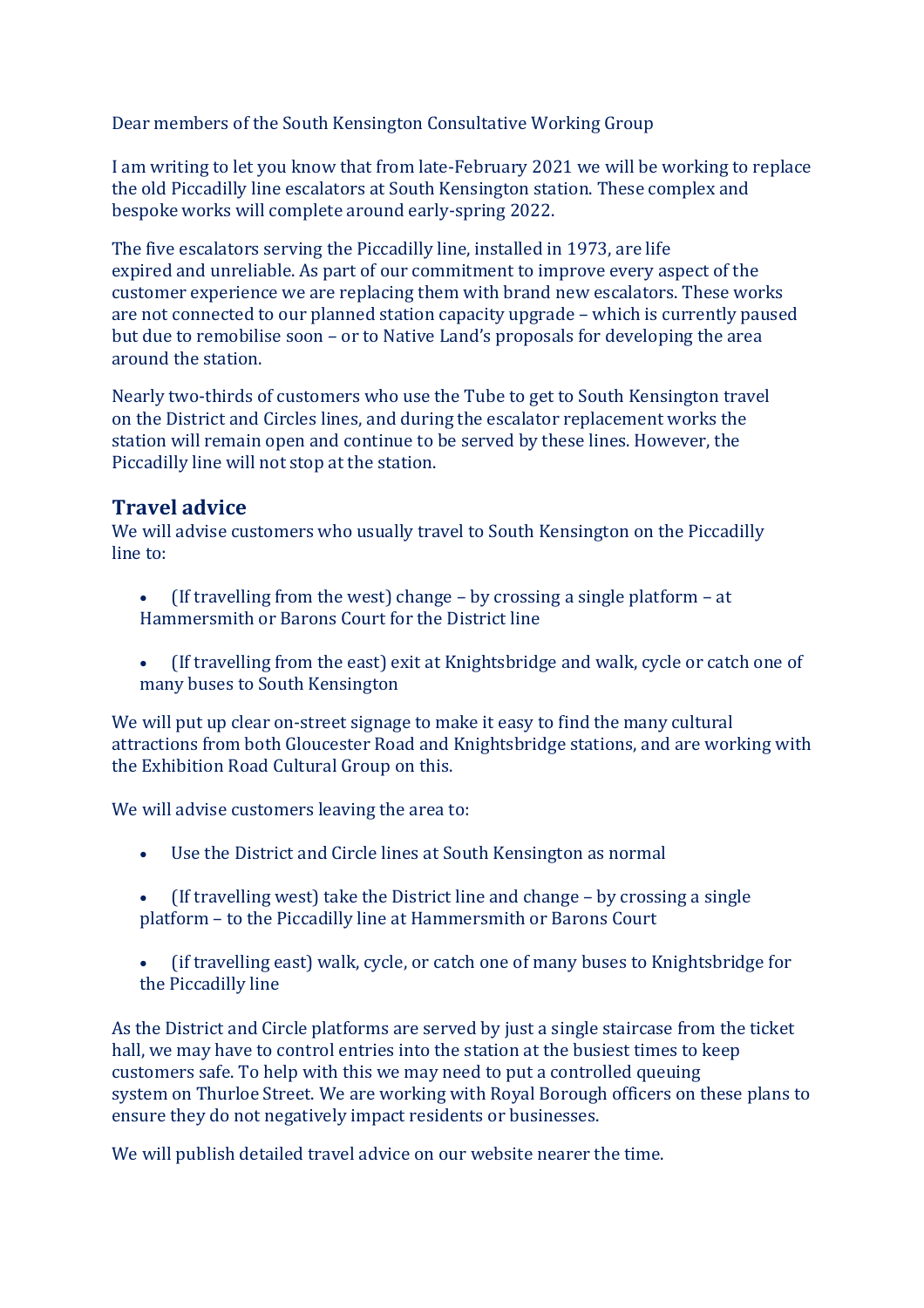Dear members of the South Kensington Consultative Working Group

I am writing to let you know that from late-February 2021 we will be working to replace the old Piccadilly line escalators at South Kensington station. These complex and bespoke works will complete around early-spring 2022.

The five escalators serving the Piccadilly line, installed in 1973, are life expired and unreliable. As part of our commitment to improve every aspect of the customer experience we are replacing them with brand new escalators. These works are not connected to our planned station capacity upgrade – which is currently paused but due to remobilise soon – or to Native Land's proposals for developing the area around the station.

Nearly two-thirds of customers who use the Tube to get to South Kensington travel on the District and Circles lines, and during the escalator replacement works the station will remain open and continue to be served by these lines. However, the Piccadilly line will not stop at the station.

## **Travel advice**

We will advise customers who usually travel to South Kensington on the Piccadilly line to:

- (If travelling from the west) change by crossing a single platform at Hammersmith or Barons Court for the District line
- (If travelling from the east) exit at Knightsbridge and walk, cycle or catch one of many buses to South Kensington

We will put up clear on-street signage to make it easy to find the many cultural attractions from both Gloucester Road and Knightsbridge stations, and are working with the Exhibition Road Cultural Group on this.

We will advise customers leaving the area to:

- Use the District and Circle lines at South Kensington as normal
- (If travelling west) take the District line and change by crossing a single platform – to the Piccadilly line at Hammersmith or Barons Court
- (if travelling east) walk, cycle, or catch one of many buses to Knightsbridge for the Piccadilly line

As the District and Circle platforms are served by just a single staircase from the ticket hall, we may have to control entries into the station at the busiest times to keep customers safe. To help with this we may need to put a controlled queuing system on Thurloe Street. We are working with Royal Borough officers on these plans to ensure they do not negatively impact residents or businesses.

We will publish detailed travel advice on our website nearer the time.